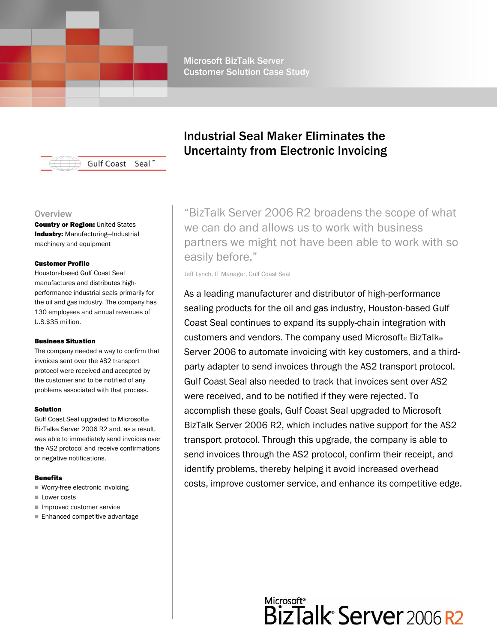Microsoft BizTalk Server Customer Solution Case Study



#### **Overview**

**Country or Region: United States** Industry: Manufacturing-Industrial machinery and equipment

#### Customer Profile

Houston-based Gulf Coast Seal manufactures and distributes highperformance industrial seals primarily for the oil and gas industry. The company has 130 employees and annual revenues of U.S.\$35 million.

#### Business Situation

The company needed a way to confirm that invoices sent over the AS2 transport protocol were received and accepted by the customer and to be notified of any problems associated with that process.

#### Solution

Gulf Coast Seal upgraded to Microsoft® BizTalk® Server 2006 R2 and, as a result, was able to immediately send invoices over the AS2 protocol and receive confirmations or negative notifications.

#### Benefits

- Worry-free electronic invoicing
- $\blacksquare$  Lower costs
- Improved customer service
- Enhanced competitive advantage

## Industrial Seal Maker Eliminates the Uncertainty from Electronic Invoicing

"BizTalk Server 2006 R2 broadens the scope of what we can do and allows us to work with business partners we might not have been able to work with so easily before."

Jeff Lynch, IT Manager, Gulf Coast Seal

As a leading manufacturer and distributor of high-performance sealing products for the oil and gas industry, Houston-based Gulf Coast Seal continues to expand its supply-chain integration with customers and vendors. The company used Microsoft® BizTalk® Server 2006 to automate invoicing with key customers, and a thirdparty adapter to send invoices through the AS2 transport protocol. Gulf Coast Seal also needed to track that invoices sent over AS2 were received, and to be notified if they were rejected. To accomplish these goals, Gulf Coast Seal upgraded to Microsoft BizTalk Server 2006 R2, which includes native support for the AS2 transport protocol. Through this upgrade, the company is able to send invoices through the AS2 protocol, confirm their receipt, and identify problems, thereby helping it avoid increased overhead costs, improve customer service, and enhance its competitive edge.

# Microsoft\*<br>BizTalk<sup>\*</sup> Server 2006 R2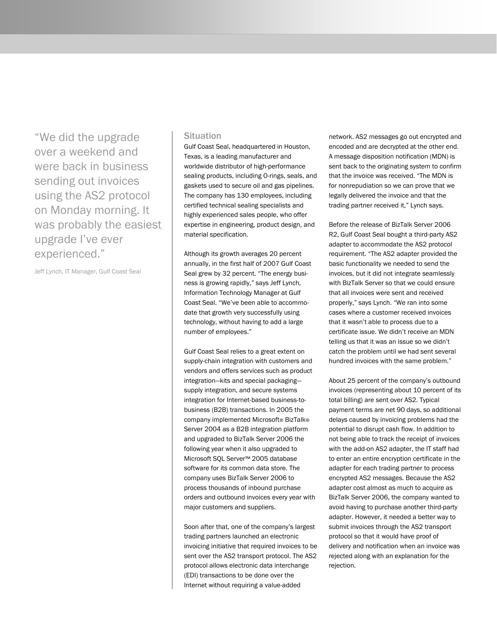"We did the upgrade over a weekend and were back in business sending out invoices using the AS2 protocol on Monday morning. It was probably the easiest upgrade I've ever experienced."

Jeff Lynch, IT Manager, Gulf Coast Seal

### **Situation**

Gulf Coast Seal, headquartered in Houston, Texas, is a leading manufacturer and worldwide distributor of high-performance sealing products, including O-rings, seals, and gaskets used to secure oil and gas pipelines. The company has 130 employees, including certified technical sealing specialists and highly experienced sales people, who offer expertise in engineering, product design, and material specification.

Although its growth averages 20 percent annually, in the first half of 2007 Gulf Coast Seal grew by 32 percent. "The energy business is growing rapidly," says Jeff Lynch, Information Technology Manager at Gulf Coast Seal. "We've been able to accommodate that growth very successfully using technology, without having to add a large number of employees."

Gulf Coast Seal relies to a great extent on supply-chain integration with customers and vendors and offers services such as product integration—kits and special packaging supply integration, and secure systems integration for Internet-based business-tobusiness (B2B) transactions. In 2005 the company implemented Microsoft® BizTalk® Server 2004 as a B2B integration platform and upgraded to BizTalk Server 2006 the following year when it also upgraded to Microsoft SQL Server™ 2005 database software for its common data store. The company uses BizTalk Server 2006 to process thousands of inbound purchase orders and outbound invoices every year with major customers and suppliers.

Soon after that, one of the company's largest trading partners launched an electronic invoicing initiative that required invoices to be sent over the AS2 transport protocol. The AS2 protocol allows electronic data interchange (EDI) transactions to be done over the Internet without requiring a value-added

network. AS2 messages go out encrypted and encoded and are decrypted at the other end. A message disposition notification (MDN) is sent back to the originating system to confirm that the invoice was received. "The MDN is for nonrepudiation so we can prove that we legally delivered the invoice and that the trading partner received it," Lynch says.

Before the release of BizTalk Server 2006 R2, Gulf Coast Seal bought a third-party AS2 adapter to accommodate the AS2 protocol requirement. "The AS2 adapter provided the basic functionality we needed to send the invoices, but it did not integrate seamlessly with BizTalk Server so that we could ensure that all invoices were sent and received properly," says Lynch. "We ran into some cases where a customer received invoices that it wasn't able to process due to a certificate issue. We didn't receive an MDN telling us that it was an issue so we didn't catch the problem until we had sent several hundred invoices with the same problem."

About 25 percent of the company's outbound invoices (representing about 10 percent of its total billing) are sent over AS2. Typical payment terms are net 90 days, so additional delays caused by invoicing problems had the potential to disrupt cash flow. In addition to not being able to track the receipt of invoices with the add-on AS2 adapter, the IT staff had to enter an entire encryption certificate in the adapter for each trading partner to process encrypted AS2 messages. Because the AS2 adapter cost almost as much to acquire as BizTalk Server 2006, the company wanted to avoid having to purchase another third-party adapter. However, it needed a better way to submit invoices through the AS2 transport protocol so that it would have proof of delivery and notification when an invoice was rejected along with an explanation for the rejection.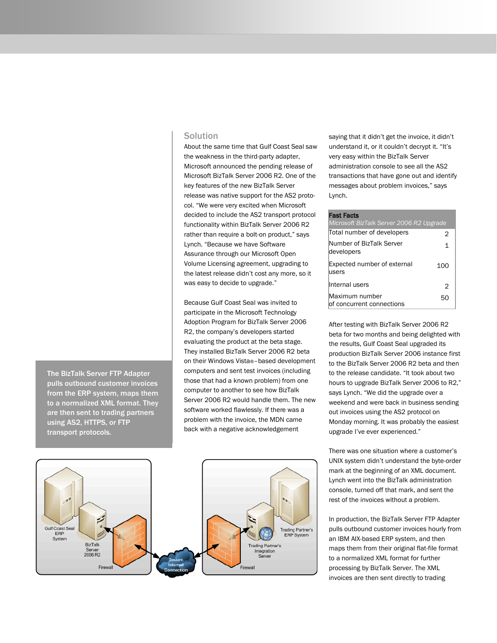## Solution

About the same time that Gulf Coast Seal saw the weakness in the third-party adapter, Microsoft announced the pending release of Microsoft BizTalk Server 2006 R2. One of the key features of the new BizTalk Server release was native support for the AS2 protocol. "We were very excited when Microsoft decided to include the AS2 transport protocol functionality within BizTalk Server 2006 R2 rather than require a bolt-on product," says Lynch. "Because we have Software Assurance through our Microsoft Open Volume Licensing agreement, upgrading to the latest release didn't cost any more, so it was easy to decide to upgrade."

Because Gulf Coast Seal was invited to participate in the Microsoft Technology Adoption Program for BizTalk Server 2006 R2, the company's developers started evaluating the product at the beta stage. They installed BizTalk Server 2006 R2 beta on their Windows Vista®–based development computers and sent test invoices (including those that had a known problem) from one computer to another to see how BizTalk Server 2006 R2 would handle them. The new software worked flawlessly. If there was a problem with the invoice, the MDN came back with a negative acknowledgement



The BizTalk Server FTP Adapter pulls outbound customer invoices from the ERP system, maps them to a normalized XML format. They are then sent to trading partners using AS2, HTTPS, or FTP transport protocols.

saying that it didn't get the invoice, it didn't understand it, or it couldn't decrypt it. "It's very easy within the BizTalk Server administration console to see all the AS2 transactions that have gone out and identify messages about problem invoices," says Lynch.

#### Fast Facts

| Microsoft BizTalk Server 2006 R2 Upgrade    |     |
|---------------------------------------------|-----|
| Total number of developers                  | 2   |
| Number of BizTalk Server<br>developers      | 1   |
| Expected number of external<br>users        | 100 |
| Internal users                              | 2   |
| Maximum number<br>of concurrent connections | 50  |

After testing with BizTalk Server 2006 R2 beta for two months and being delighted with the results, Gulf Coast Seal upgraded its production BizTalk Server 2006 instance first to the BizTalk Server 2006 R2 beta and then to the release candidate. "It took about two hours to upgrade BizTalk Server 2006 to R2," says Lynch. "We did the upgrade over a weekend and were back in business sending out invoices using the AS2 protocol on Monday morning. It was probably the easiest upgrade I've ever experienced."

There was one situation where a customer's UNIX system didn't understand the byte-order mark at the beginning of an XML document. Lynch went into the BizTalk administration console, turned off that mark, and sent the rest of the invoices without a problem.

In production, the BizTalk Server FTP Adapter pulls outbound customer invoices hourly from an IBM AIX-based ERP system, and then maps them from their original flat-file format to a normalized XML format for further processing by BizTalk Server. The XML invoices are then sent directly to trading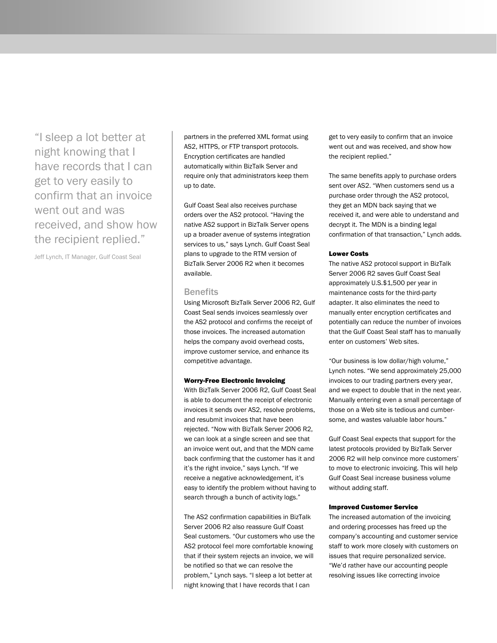"I sleep a lot better at night knowing that I have records that I can get to very easily to confirm that an invoice went out and was received, and show how the recipient replied."

Jeff Lynch, IT Manager, Gulf Coast Seal

partners in the preferred XML format using AS2, HTTPS, or FTP transport protocols. Encryption certificates are handled automatically within BizTalk Server and require only that administrators keep them up to date.

Gulf Coast Seal also receives purchase orders over the AS2 protocol. "Having the native AS2 support in BizTalk Server opens up a broader avenue of systems integration services to us," says Lynch. Gulf Coast Seal plans to upgrade to the RTM version of BizTalk Server 2006 R2 when it becomes available.

#### **Benefits**

Using Microsoft BizTalk Server 2006 R2, Gulf Coast Seal sends invoices seamlessly over the AS2 protocol and confirms the receipt of those invoices. The increased automation helps the company avoid overhead costs, improve customer service, and enhance its competitive advantage.

#### Worry-Free Electronic Invoicing

With BizTalk Server 2006 R2, Gulf Coast Seal is able to document the receipt of electronic invoices it sends over AS2, resolve problems, and resubmit invoices that have been rejected. "Now with BizTalk Server 2006 R2, we can look at a single screen and see that an invoice went out, and that the MDN came back confirming that the customer has it and it's the right invoice," says Lynch. "If we receive a negative acknowledgement, it's easy to identify the problem without having to search through a bunch of activity logs."

The AS2 confirmation capabilities in BizTalk Server 2006 R2 also reassure Gulf Coast Seal customers. "Our customers who use the AS2 protocol feel more comfortable knowing that if their system rejects an invoice, we will be notified so that we can resolve the problem," Lynch says. "I sleep a lot better at night knowing that I have records that I can

get to very easily to confirm that an invoice went out and was received, and show how the recipient replied."

The same benefits apply to purchase orders sent over AS2. "When customers send us a purchase order through the AS2 protocol, they get an MDN back saying that we received it, and were able to understand and decrypt it. The MDN is a binding legal confirmation of that transaction," Lynch adds.

#### Lower Costs

The native AS2 protocol support in BizTalk Server 2006 R2 saves Gulf Coast Seal approximately U.S.\$1,500 per year in maintenance costs for the third-party adapter. It also eliminates the need to manually enter encryption certificates and potentially can reduce the number of invoices that the Gulf Coast Seal staff has to manually enter on customers' Web sites.

"Our business is low dollar/high volume," Lynch notes. "We send approximately 25,000 invoices to our trading partners every year, and we expect to double that in the next year. Manually entering even a small percentage of those on a Web site is tedious and cumbersome, and wastes valuable labor hours."

Gulf Coast Seal expects that support for the latest protocols provided by BizTalk Server 2006 R2 will help convince more customers' to move to electronic invoicing. This will help Gulf Coast Seal increase business volume without adding staff.

#### Improved Customer Service

The increased automation of the invoicing and ordering processes has freed up the company's accounting and customer service staff to work more closely with customers on issues that require personalized service. "We'd rather have our accounting people resolving issues like correcting invoice